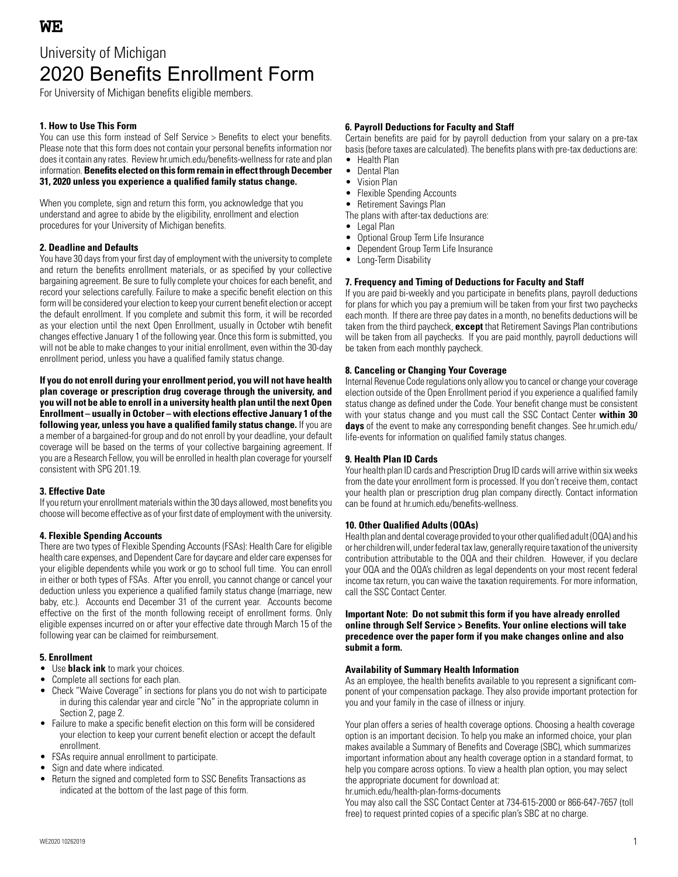# University of Michigan 2020 Benefits Enrollment Form

For University of Michigan benefits eligible members.

## **1. How to Use This Form**

You can use this form instead of Self Service > Benefits to elect your benefits. Please note that this form does not contain your personal benefits information nor does it contain any rates. Review hr.umich.edu/benefits-wellness for rate and plan information. **Benefits elected on this form remain in effect through December 31, 2020 unless you experience a qualified family status change.**

When you complete, sign and return this form, you acknowledge that you understand and agree to abide by the eligibility, enrollment and election procedures for your University of Michigan benefits.

## **2. Deadline and Defaults**

You have 30 days from your first day of employment with the university to complete and return the benefits enrollment materials, or as specified by your collective bargaining agreement. Be sure to fully complete your choices for each benefit, and record your selections carefully. Failure to make a specific benefit election on this form will be considered your election to keep your current benefit election or accept the default enrollment. If you complete and submit this form, it will be recorded as your election until the next Open Enrollment, usually in October wtih benefit changes effective January 1 of the following year. Once this form is submitted, you will not be able to make changes to your initial enrollment, even within the 30-day enrollment period, unless you have a qualified family status change.

**If you do not enroll during your enrollment period, you will not have health plan coverage or prescription drug coverage through the university, and you will not be able to enroll in a university health plan until the next Open Enrollment – usually in October – with elections effective January 1 of the following year, unless you have a qualified family status change.** If you are a member of a bargained-for group and do not enroll by your deadline, your default coverage will be based on the terms of your collective bargaining agreement. If you are a Research Fellow, you will be enrolled in health plan coverage for yourself consistent with SPG 201.19.

## **3. Effective Date**

If you return your enrollment materials within the 30 days allowed, most benefits you choose will become effective as of your first date of employment with the university.

## **4. Flexible Spending Accounts**

There are two types of Flexible Spending Accounts (FSAs): Health Care for eligible health care expenses, and Dependent Care for daycare and elder care expenses for your eligible dependents while you work or go to school full time. You can enroll in either or both types of FSAs. After you enroll, you cannot change or cancel your deduction unless you experience a qualified family status change (marriage, new baby, etc.). Accounts end December 31 of the current year. Accounts become effective on the first of the month following receipt of enrollment forms. Only eligible expenses incurred on or after your effective date through March 15 of the following year can be claimed for reimbursement.

## **5. Enrollment**

- Use **black ink** to mark your choices.
- Complete all sections for each plan.
- Check "Waive Coverage" in sections for plans you do not wish to participate in during this calendar year and circle "No" in the appropriate column in Section 2, page 2.
- Failure to make a specific benefit election on this form will be considered your election to keep your current benefit election or accept the default enrollment.
- FSAs require annual enrollment to participate.
- Sign and date where indicated.
- Return the signed and completed form to SSC Benefits Transactions as indicated at the bottom of the last page of this form.

#### **6. Payroll Deductions for Faculty and Staff**

Certain benefits are paid for by payroll deduction from your salary on a pre-tax basis (before taxes are calculated). The benefits plans with pre-tax deductions are:

- Health Plan
- Dental Plan
- Vision Plan
- **Flexible Spending Accounts**
- Retirement Savings Plan
- The plans with after-tax deductions are:
- Legal Plan
- Optional Group Term Life Insurance
- Dependent Group Term Life Insurance
- Long-Term Disability

#### **7. Frequency and Timing of Deductions for Faculty and Staff**

If you are paid bi-weekly and you participate in benefits plans, payroll deductions for plans for which you pay a premium will be taken from your first two paychecks each month. If there are three pay dates in a month, no benefits deductions will be taken from the third paycheck, **except** that Retirement Savings Plan contributions will be taken from all paychecks. If you are paid monthly, payroll deductions will be taken from each monthly paycheck.

### **8. Canceling or Changing Your Coverage**

Internal Revenue Code regulations only allow you to cancel or change your coverage election outside of the Open Enrollment period if you experience a qualified family status change as defined under the Code. Your benefit change must be consistent with your status change and you must call the SSC Contact Center **within 30 days** of the event to make any corresponding benefit changes. See hr.umich.edu/ life-events for information on qualified family status changes.

#### **9. Health Plan ID Cards**

Your health plan ID cards and Prescription Drug ID cards will arrive within six weeks from the date your enrollment form is processed. If you don't receive them, contact your health plan or prescription drug plan company directly. Contact information can be found at hr.umich.edu/benefits-wellness.

#### **10. Other Qualified Adults (OQAs)**

Health plan and dental coverage provided to your other qualified adult (OQA) and his or her children will, under federal tax law, generally require taxation of the university contribution attributable to the OQA and their children. However, if you declare your OQA and the OQA's children as legal dependents on your most recent federal income tax return, you can waive the taxation requirements. For more information, call the SSC Contact Center.

#### **Important Note: Do not submit this form if you have already enrolled online through Self Service > Benefits. Your online elections will take precedence over the paper form if you make changes online and also submit a form.**

#### **Availability of Summary Health Information**

As an employee, the health benefits available to you represent a significant component of your compensation package. They also provide important protection for you and your family in the case of illness or injury.

Your plan offers a series of health coverage options. Choosing a health coverage option is an important decision. To help you make an informed choice, your plan makes available a Summary of Benefits and Coverage (SBC), which summarizes important information about any health coverage option in a standard format, to help you compare across options. To view a health plan option, you may select the appropriate document for download at:

hr.umich.edu/health-plan-forms-documents

You may also call the SSC Contact Center at 734-615-2000 or 866-647-7657 (toll free) to request printed copies of a specific plan's SBC at no charge.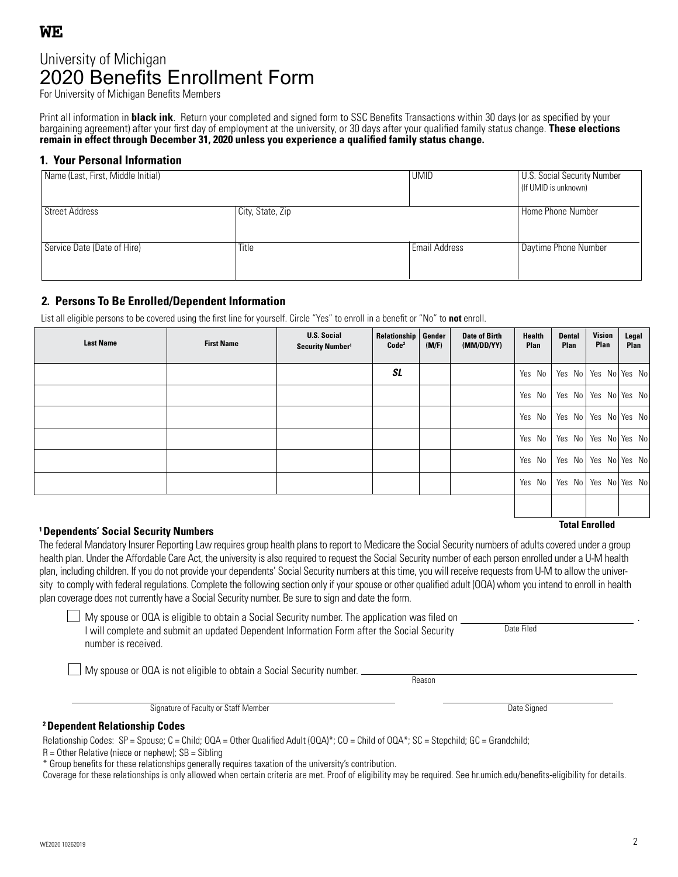**WE**

# 2020 Benefits Enrollment Form University of Michigan

For University of Michigan Benefits Members

Print all information in **black ink**. Return your completed and signed form to SSC Benefits Transactions within 30 days (or as specified by your bargaining agreement) after your first day of employment at the university, or 30 days after your qualified family status change. **These elections remain in effect through December 31, 2020 unless you experience a qualified family status change.**

## **1. Your Personal Information**

| Name (Last, First, Middle Initial) |                  | <b>UMID</b>   | <b>U.S. Social Security Number</b><br>(If UMID is unknown) |
|------------------------------------|------------------|---------------|------------------------------------------------------------|
| Street Address                     | City, State, Zip |               | Home Phone Number                                          |
| Service Date (Date of Hire)        | Title            | Email Address | Daytime Phone Number                                       |

## **2. Persons To Be Enrolled/Dependent Information**

List all eligible persons to be covered using the first line for yourself. Circle "Yes" to enroll in a benefit or "No" to **not** enroll.

| <b>Last Name</b> | <b>First Name</b> | <b>U.S. Social</b><br>Security Number <sup>1</sup> | Relationship<br>Code <sup>2</sup> | Gender<br>(M/F) | <b>Date of Birth</b><br>(MM/DD/YY) | <b>Health</b><br>Plan | <b>Dental</b><br><b>Plan</b> | Vision<br>Plan | Legal<br>Plan            |
|------------------|-------------------|----------------------------------------------------|-----------------------------------|-----------------|------------------------------------|-----------------------|------------------------------|----------------|--------------------------|
|                  |                   |                                                    | <b>SL</b>                         |                 |                                    | Yes No                |                              |                | Yes No Yes No Yes No     |
|                  |                   |                                                    |                                   |                 |                                    | Yes No                |                              |                | Yes No Yes No Yes No     |
|                  |                   |                                                    |                                   |                 |                                    | Yes No                |                              |                | Yes No   Yes No   Yes No |
|                  |                   |                                                    |                                   |                 |                                    | Yes No                |                              |                | Yes No Yes No Yes No     |
|                  |                   |                                                    |                                   |                 |                                    | Yes No                |                              |                | Yes No Yes No Yes No     |
|                  |                   |                                                    |                                   |                 |                                    | Yes No                |                              |                | Yes No Yes No Yes No     |
|                  |                   |                                                    |                                   |                 |                                    |                       |                              |                |                          |

# **Total Enrolled 1 Dependents' Social Security Numbers**

The federal Mandatory Insurer Reporting Law requires group health plans to report to Medicare the Social Security numbers of adults covered under a group health plan. Under the Affordable Care Act, the university is also required to request the Social Security number of each person enrolled under a U-M health plan, including children. If you do not provide your dependents' Social Security numbers at this time, you will receive requests from U-M to allow the university to comply with federal regulations. Complete the following section only if your spouse or other qualified adult (OQA) whom you intend to enroll in health plan coverage does not currently have a Social Security number. Be sure to sign and date the form.

 $\Box$  My spouse or OQA is eligible to obtain a Social Security number. The application was filed on I will complete and submit an updated Dependent Information Form after the Social Security number is received.

My spouse or OQA is not eligible to obtain a Social Security number.

Reason

Signature of Faculty or Staff Member Date Signed Contact Contact Contact Contact Contact Date Signed Date Signed

Date Filed

## **2 Dependent Relationship Codes**

Relationship Codes: SP = Spouse; C = Child; OQA = Other Qualified Adult (OQA)\*; CO = Child of OQA\*; SC = Stepchild; GC = Grandchild;

 $R =$  Other Relative (niece or nephew);  $SB =$  Sibling

\* Group benefits for these relationships generally requires taxation of the university's contribution.

Coverage for these relationships is only allowed when certain criteria are met. Proof of eligibility may be required. See hr.umich.edu/benefits-eligibility for details.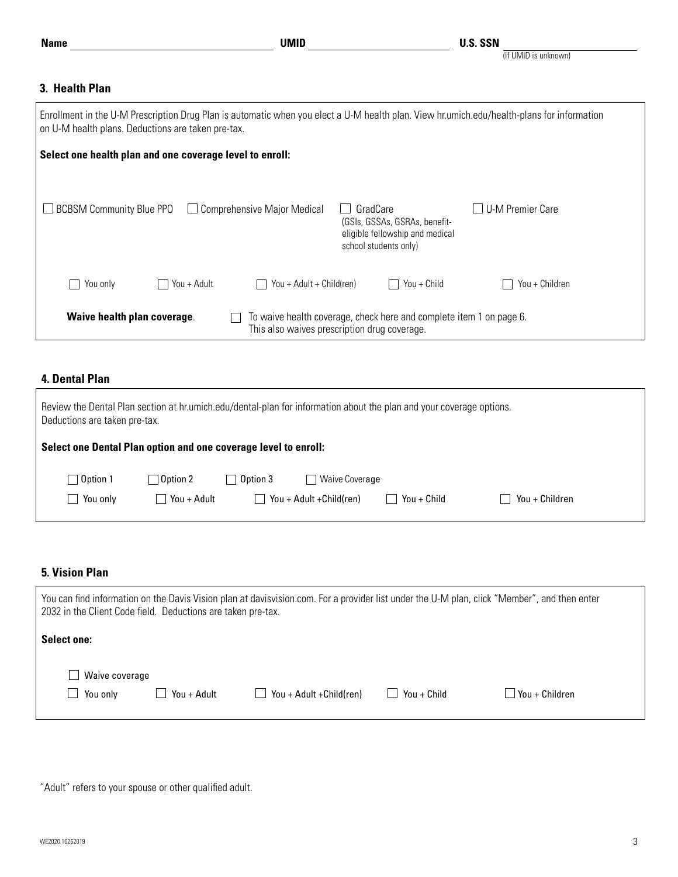## **3. Health Plan**

| Enrollment in the U-M Prescription Drug Plan is automatic when you elect a U-M health plan. View hr.umich.edu/health-plans for information<br>on U-M health plans. Deductions are taken pre-tax. |             |                                              |          |                                                                                           |                  |
|--------------------------------------------------------------------------------------------------------------------------------------------------------------------------------------------------|-------------|----------------------------------------------|----------|-------------------------------------------------------------------------------------------|------------------|
| Select one health plan and one coverage level to enroll:                                                                                                                                         |             |                                              |          |                                                                                           |                  |
| <b>BCBSM Community Blue PPO</b>                                                                                                                                                                  |             | $\Box$ Comprehensive Major Medical           | GradCare | (GSIs, GSSAs, GSRAs, benefit-<br>eligible fellowship and medical<br>school students only) | U-M Premier Care |
| You only                                                                                                                                                                                         | You + Adult | You + Adult + Child(ren)                     |          | You + Child                                                                               | You + Children   |
| Waive health plan coverage.                                                                                                                                                                      |             | This also waives prescription drug coverage. |          | To waive health coverage, check here and complete item 1 on page 6.                       |                  |

## **4. Dental Plan**

| Review the Dental Plan section at hr.umich.edu/dental-plan for information about the plan and your coverage options.<br>Deductions are taken pre-tax. |                                |                   |                                            |             |                |  |
|-------------------------------------------------------------------------------------------------------------------------------------------------------|--------------------------------|-------------------|--------------------------------------------|-------------|----------------|--|
| Select one Dental Plan option and one coverage level to enroll:                                                                                       |                                |                   |                                            |             |                |  |
| $\Box$ Option 1<br>You only<br>$\blacksquare$                                                                                                         | $\Box$ Option 2<br>You + Adult | $\sqcap$ Option 3 | Waive Coverage<br>You + Adult + Child(ren) | You + Child | You + Children |  |

## **5. Vision Plan**

| You can find information on the Davis Vision plan at davisvision.com. For a provider list under the U-M plan, click "Member", and then enter<br>2032 in the Client Code field. Deductions are taken pre-tax. |             |                                  |             |                |
|--------------------------------------------------------------------------------------------------------------------------------------------------------------------------------------------------------------|-------------|----------------------------------|-------------|----------------|
| <b>Select one:</b>                                                                                                                                                                                           |             |                                  |             |                |
| Waive coverage<br>$\blacksquare$<br>You only                                                                                                                                                                 | You + Adult | $\Box$ You + Adult + Child (ren) | You + Child | You + Children |

"Adult" refers to your spouse or other qualified adult.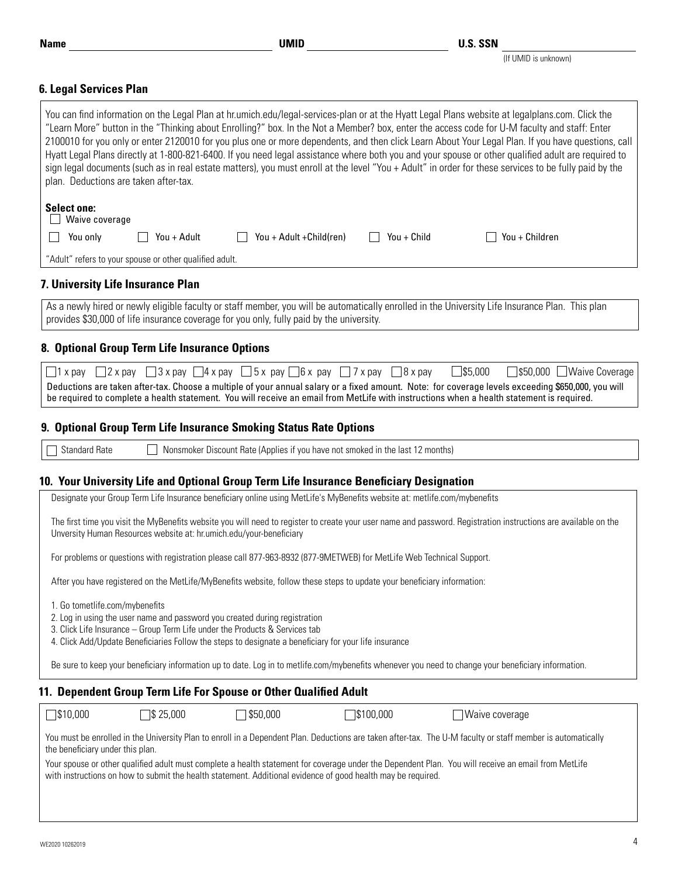| WE2020 10262019<br>. |  |  |
|----------------------|--|--|

(If UMID is unknown)

## **6. Legal Services Plan**

|                                       | You can find information on the Legal Plan at hr.umich.edu/legal-services-plan or at the Hyatt Legal Plans website at legalplans.com. Click the                                                                                                                                                                                                                                                                                                                                                                                                                                                                   |
|---------------------------------------|-------------------------------------------------------------------------------------------------------------------------------------------------------------------------------------------------------------------------------------------------------------------------------------------------------------------------------------------------------------------------------------------------------------------------------------------------------------------------------------------------------------------------------------------------------------------------------------------------------------------|
| plan. Deductions are taken after-tax. | "Learn More" button in the "Thinking about Enrolling?" box. In the Not a Member? box, enter the access code for U-M faculty and staff: Enter<br>2100010 for you only or enter 2120010 for you plus one or more dependents, and then click Learn About Your Legal Plan. If you have questions, call<br>Hyatt Legal Plans directly at 1-800-821-6400. If you need legal assistance where both you and your spouse or other qualified adult are required to<br>sign legal documents (such as in real estate matters), you must enroll at the level "You + Adult" in order for these services to be fully paid by the |
| <b>Select one:</b>                    |                                                                                                                                                                                                                                                                                                                                                                                                                                                                                                                                                                                                                   |
| $\Box$ Waive coverage                 |                                                                                                                                                                                                                                                                                                                                                                                                                                                                                                                                                                                                                   |
| You only                              | $\top$ You + Children<br>You + Adult<br>You + Adult + Child (ren)<br>You + Child                                                                                                                                                                                                                                                                                                                                                                                                                                                                                                                                  |
|                                       | "Adult" refers to your spouse or other qualified adult.                                                                                                                                                                                                                                                                                                                                                                                                                                                                                                                                                           |
| 7. University Life Insurance Plan     |                                                                                                                                                                                                                                                                                                                                                                                                                                                                                                                                                                                                                   |
|                                       | As a newly hired or newly eligible faculty or staff member, you will be automatically enrolled in the University Life Insurance Plan. This plan                                                                                                                                                                                                                                                                                                                                                                                                                                                                   |
|                                       | provides \$30,000 of life insurance coverage for you only, fully paid by the university.                                                                                                                                                                                                                                                                                                                                                                                                                                                                                                                          |
|                                       |                                                                                                                                                                                                                                                                                                                                                                                                                                                                                                                                                                                                                   |
|                                       | 8. Optional Group Term Life Insurance Options                                                                                                                                                                                                                                                                                                                                                                                                                                                                                                                                                                     |
|                                       | $\Box$ 1 x pay $\Box$ 2 x pay $\Box$ 3 x pay $\Box$ 4 x pay $\Box$ 5 x pay $\Box$ 6 x pay $\Box$ 7 x pay $\Box$ 8 x pay<br>$\Box$ \$5,000<br>□ \$50,000 ■ Waive Coverage                                                                                                                                                                                                                                                                                                                                                                                                                                          |
|                                       | Deductions are taken after-tax. Choose a multiple of your annual salary or a fixed amount. Note: for coverage levels exceeding \$650,000, you will                                                                                                                                                                                                                                                                                                                                                                                                                                                                |
|                                       | be required to complete a health statement. You will receive an email from MetLife with instructions when a health statement is required.                                                                                                                                                                                                                                                                                                                                                                                                                                                                         |
|                                       | 9. Optional Group Term Life Insurance Smoking Status Rate Options                                                                                                                                                                                                                                                                                                                                                                                                                                                                                                                                                 |
|                                       |                                                                                                                                                                                                                                                                                                                                                                                                                                                                                                                                                                                                                   |
|                                       |                                                                                                                                                                                                                                                                                                                                                                                                                                                                                                                                                                                                                   |
| <b>Standard Rate</b>                  | Nonsmoker Discount Rate (Applies if you have not smoked in the last 12 months)                                                                                                                                                                                                                                                                                                                                                                                                                                                                                                                                    |
|                                       |                                                                                                                                                                                                                                                                                                                                                                                                                                                                                                                                                                                                                   |
|                                       | 10. Your University Life and Optional Group Term Life Insurance Beneficiary Designation<br>Designate your Group Term Life Insurance beneficiary online using MetLife's MyBenefits website at: metlife.com/mybenefits                                                                                                                                                                                                                                                                                                                                                                                              |
|                                       | The first time you visit the MyBenefits website you will need to register to create your user name and password. Registration instructions are available on the<br>Unversity Human Resources website at: hr.umich.edu/your-beneficiary                                                                                                                                                                                                                                                                                                                                                                            |
|                                       | For problems or questions with registration please call 877-963-8932 (877-9METWEB) for MetLife Web Technical Support.                                                                                                                                                                                                                                                                                                                                                                                                                                                                                             |
|                                       | After you have registered on the MetLife/MyBenefits website, follow these steps to update your beneficiary information:                                                                                                                                                                                                                                                                                                                                                                                                                                                                                           |
| 1. Go tometlife.com/mybenefits        | 2. Log in using the user name and password you created during registration<br>3. Click Life Insurance - Group Term Life under the Products & Services tab<br>4. Click Add/Update Beneficiaries Follow the steps to designate a beneficiary for your life insurance                                                                                                                                                                                                                                                                                                                                                |
|                                       | Be sure to keep your beneficiary information up to date. Log in to metlife.com/mybenefits whenever you need to change your beneficiary information.                                                                                                                                                                                                                                                                                                                                                                                                                                                               |
|                                       |                                                                                                                                                                                                                                                                                                                                                                                                                                                                                                                                                                                                                   |
| $\Box$ \$10,000                       | 11. Dependent Group Term Life For Spouse or Other Qualified Adult<br>$\sqrt{$}325,000$<br>350,000<br>$\Box$ \$100,000<br>√Waive coverage                                                                                                                                                                                                                                                                                                                                                                                                                                                                          |

You must be enrolled in the University Plan to enroll in a Dependent Plan. Deductions are taken after-tax. The U-M faculty or staff member is automatically the beneficiary under this plan.

Your spouse or other qualified adult must complete a health statement for coverage under the Dependent Plan. You will receive an email from MetLife with instructions on how to submit the health statement. Additional evidence of good health may be required.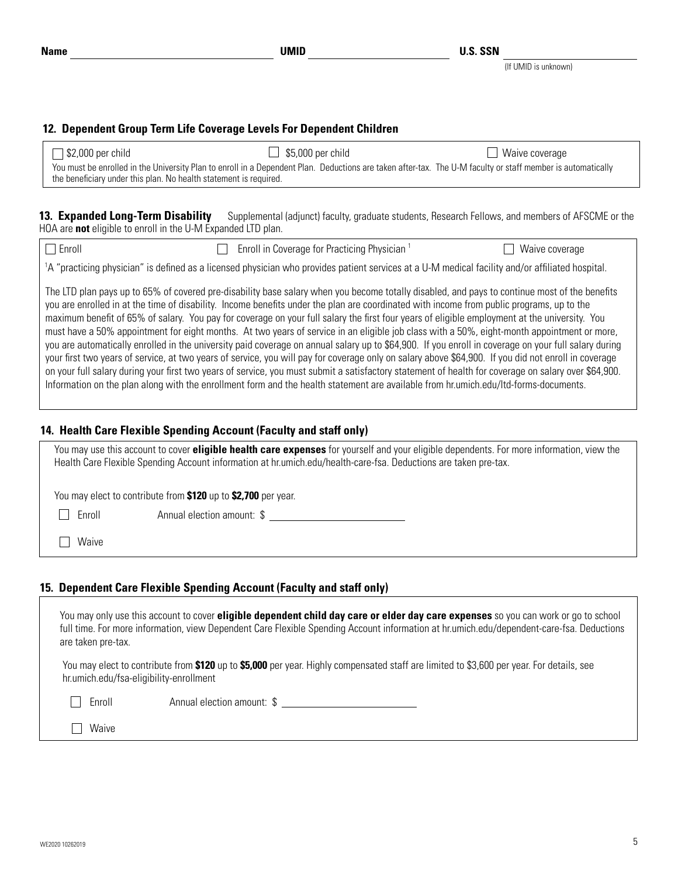(If UMID is unknown)

## **12. Dependent Group Term Life Coverage Levels For Dependent Children**

| $\Box$ \$2,000 per child                                                                                                                                                                                                         | $\Box$ \$5,000 per child | $\Box$ Waive coverage |
|----------------------------------------------------------------------------------------------------------------------------------------------------------------------------------------------------------------------------------|--------------------------|-----------------------|
| You must be enrolled in the University Plan to enroll in a Dependent Plan. Deductions are taken after-tax. The U-M faculty or staff member is automatically<br>the beneficiary under this plan. No health statement is required. |                          |                       |

13. Expanded Long-Term Disability Supplemental (adjunct) faculty, graduate students, Research Fellows, and members of AFSCME or the HOA are **not** eligible to enroll in the U-M Expanded LTD plan.

| $\Box$ Enroll | $\Box$ | Enroll in Coverage for Practicing Physician | Waive coverage                                                                                                                                                                                                                                                                                                                                                                                                                                                                                                                                                                                                                                                                                                                                                                                                                                                                                                                                                                                                                                                     |  |
|---------------|--------|---------------------------------------------|--------------------------------------------------------------------------------------------------------------------------------------------------------------------------------------------------------------------------------------------------------------------------------------------------------------------------------------------------------------------------------------------------------------------------------------------------------------------------------------------------------------------------------------------------------------------------------------------------------------------------------------------------------------------------------------------------------------------------------------------------------------------------------------------------------------------------------------------------------------------------------------------------------------------------------------------------------------------------------------------------------------------------------------------------------------------|--|
|               |        |                                             | 1A "practicing physician" is defined as a licensed physician who provides patient services at a U-M medical facility and/or affiliated hospital.                                                                                                                                                                                                                                                                                                                                                                                                                                                                                                                                                                                                                                                                                                                                                                                                                                                                                                                   |  |
|               |        |                                             | The LTD plan pays up to 65% of covered pre-disability base salary when you become totally disabled, and pays to continue most of the benefits<br>you are enrolled in at the time of disability. Income benefits under the plan are coordinated with income from public programs, up to the<br>maximum benefit of 65% of salary. You pay for coverage on your full salary the first four years of eligible employment at the university. You<br>must have a 50% appointment for eight months. At two years of service in an eligible job class with a 50%, eight-month appointment or more,<br>you are automatically enrolled in the university paid coverage on annual salary up to \$64,900. If you enroll in coverage on your full salary during<br>your first two years of service, at two years of service, you will pay for coverage only on salary above \$64,900. If you did not enroll in coverage<br>on your full salary during your first two years of service, you must submit a satisfactory statement of health for coverage on salary over \$64,900. |  |
|               |        |                                             | Information on the plan along with the enrollment form and the health statement are available from hr.umich.edu/ltd-forms-documents.                                                                                                                                                                                                                                                                                                                                                                                                                                                                                                                                                                                                                                                                                                                                                                                                                                                                                                                               |  |

## **14. Health Care Flexible Spending Account (Faculty and staff only)**

|        | You may use this account to cover <b>eligible health care expenses</b> for yourself and your eligible dependents. For more information, view the<br>Health Care Flexible Spending Account information at hr.umich.edu/health-care-fsa. Deductions are taken pre-tax. |  |
|--------|----------------------------------------------------------------------------------------------------------------------------------------------------------------------------------------------------------------------------------------------------------------------|--|
|        | You may elect to contribute from \$120 up to \$2,700 per year.                                                                                                                                                                                                       |  |
| Enroll | Annual election amount: \$                                                                                                                                                                                                                                           |  |
| Waive  |                                                                                                                                                                                                                                                                      |  |

## **15. Dependent Care Flexible Spending Account (Faculty and staff only)**

| You may only use this account to cover eligible dependent child day care or elder day care expenses so you can work or go to school<br>full time. For more information, view Dependent Care Flexible Spending Account information at hr.umich.edu/dependent-care-fsa. Deductions<br>are taken pre-tax. |                            |  |  |  |  |
|--------------------------------------------------------------------------------------------------------------------------------------------------------------------------------------------------------------------------------------------------------------------------------------------------------|----------------------------|--|--|--|--|
| You may elect to contribute from \$120 up to \$5,000 per year. Highly compensated staff are limited to \$3,600 per year. For details, see<br>hr.umich.edu/fsa-eligibility-enrollment                                                                                                                   |                            |  |  |  |  |
| Enroll                                                                                                                                                                                                                                                                                                 | Annual election amount: \$ |  |  |  |  |
| Waive                                                                                                                                                                                                                                                                                                  |                            |  |  |  |  |
|                                                                                                                                                                                                                                                                                                        |                            |  |  |  |  |